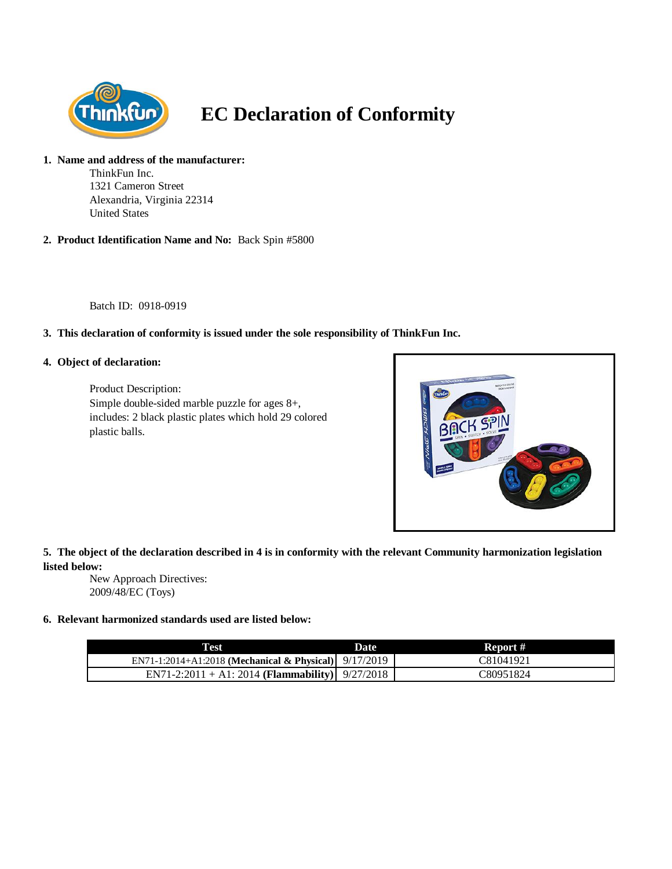

# **EC Declaration of Conformity**

#### **1. Name and address of the manufacturer:**

ThinkFun Inc. 1321 Cameron Street Alexandria, Virginia 22314 United States

**2. Product Identification Name and No:** Back Spin #5800

Batch ID: 0918-0919

# **3. This declaration of conformity is issued under the sole responsibility of ThinkFun Inc.**

### **4. Object of declaration:**

Product Description: Simple double-sided marble puzzle for ages 8+, includes: 2 black plastic plates which hold 29 colored plastic balls.



**5. The object of the declaration described in 4 is in conformity with the relevant Community harmonization legislation listed below:**

New Approach Directives: 2009/48/EC (Toys)

# **6. Relevant harmonized standards used are listed below:**

| Fest                                                  | <b>Date</b> | Report #  |
|-------------------------------------------------------|-------------|-----------|
| EN71-1:2014+A1:2018 (Mechanical & Physical) 9/17/2019 |             | C81041921 |
| EN71-2:2011 + A1: 2014 (Flammability) $9/27/2018$     |             | C80951824 |